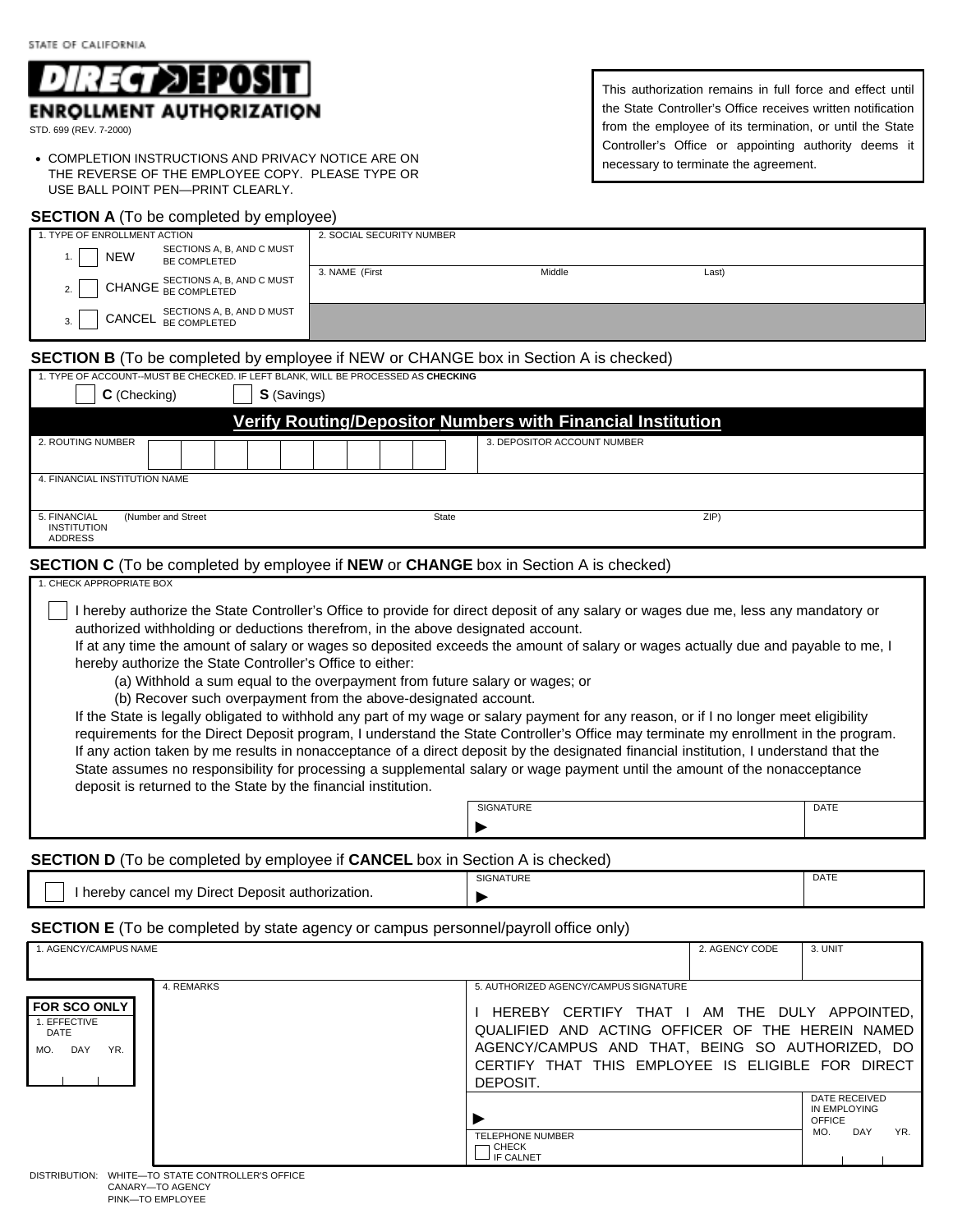

STD. 699 (REV. 7-2000)

**• COMPLETION INSTRUCTIONS AND PRIVACY NOTICE ARE ON** THE REVERSE OF THE EMPLOYEE COPY. PLEASE TYPE OR USE BALL POINT PEN—PRINT CLEARLY.

#### **SECTION A** (To be completed by employee)

This authorization remains in full force and effect until the State Controller's Office receives written notification from the employee of its termination, or until the State Controller's Office or appointing authority deems it necessary to terminate the agreement.

ZIP)

| 1. TYPE OF ENROLLMENT ACTION                                                                | 2. SOCIAL SECURITY NUMBER |                             |       |  |  |  |  |
|---------------------------------------------------------------------------------------------|---------------------------|-----------------------------|-------|--|--|--|--|
| SECTIONS A, B, AND C MUST<br><b>NEW</b><br>1.<br>BE COMPLETED                               |                           |                             |       |  |  |  |  |
| CHANGE SECTIONS A, B, AND C MUST<br>2.                                                      | 3. NAME (First            | Middle                      | Last) |  |  |  |  |
| SECTIONS A, B, AND D MUST<br>CANCEL BE COMPLETED<br>$\mathcal{R}$                           |                           |                             |       |  |  |  |  |
| <b>SECTION B</b> (To be completed by employee if NEW or CHANGE box in Section A is checked) |                           |                             |       |  |  |  |  |
| 1. TYPE OF ACCOUNT--MUST BE CHECKED. IF LEFT BLANK, WILL BE PROCESSED AS CHECKING           |                           |                             |       |  |  |  |  |
| <b>S</b> (Savings)<br>C (Checking)                                                          |                           |                             |       |  |  |  |  |
| Verify Routing/Depositor Numbers with Financial Institution                                 |                           |                             |       |  |  |  |  |
| 2. ROUTING NUMBER                                                                           |                           | 3. DEPOSITOR ACCOUNT NUMBER |       |  |  |  |  |
| 4. FINANCIAL INSTITUTION NAME                                                               |                           |                             |       |  |  |  |  |

#### 5. FINANCIAL **INSTITUTION** ADDRESS

### **SECTION C** (To be completed by employee if **NEW** or **CHANGE** box in Section A is checked)

(Number and Street State

### 1. CHECK APPROPRIATE BOX

 I hereby authorize the State Controller's Office to provide for direct deposit of any salary or wages due me, less any mandatory or authorized withholding or deductions therefrom, in the above designated account.

If at any time the amount of salary or wages so deposited exceeds the amount of salary or wages actually due and payable to me, I hereby authorize the State Controller's Office to either:

(a) Withhold a sum equal to the overpayment from future salary or wages; or

(b) Recover such overpayment from the above-designated account.

If the State is legally obligated to withhold any part of my wage or salary payment for any reason, or if I no longer meet eligibility requirements for the Direct Deposit program, I understand the State Controller's Office may terminate my enrollment in the program. If any action taken by me results in nonacceptance of a direct deposit by the designated financial institution, I understand that the State assumes no responsibility for processing a supplemental salary or wage payment until the amount of the nonacceptance deposit is returned to the State by the financial institution.

| SIGNATURE | DATE |
|-----------|------|
|           |      |

# **SECTION D** (To be completed by employee if **CANCEL** box in Section A is checked)

|                                                  | <b>SIGNATURE</b> | DATE |
|--------------------------------------------------|------------------|------|
| I hereby cancel my Direct Deposit authorization. |                  |      |

# **SECTION E** (To be completed by state agency or campus personnel/payroll office only)

| 1. AGENCY/CAMPUS NAME                                              |            |                                                                                                                                                                                                                                                               | 2. AGENCY CODE | 3. UNIT                                                      |
|--------------------------------------------------------------------|------------|---------------------------------------------------------------------------------------------------------------------------------------------------------------------------------------------------------------------------------------------------------------|----------------|--------------------------------------------------------------|
| <b>I FOR SCO ONLY</b><br>1. EFFECTIVE<br>DATE<br>DAY<br>YR.<br>MO. | 4. REMARKS | 5. AUTHORIZED AGENCY/CAMPUS SIGNATURE<br>HEREBY CERTIFY THAT I AM THE DULY APPOINTED.<br>QUALIFIED AND ACTING OFFICER OF THE HEREIN NAMED<br>AGENCY/CAMPUS AND THAT, BEING SO AUTHORIZED, DO<br>CERTIFY THAT THIS EMPLOYEE IS ELIGIBLE FOR DIRECT<br>DEPOSIT. |                |                                                              |
|                                                                    |            | <b>TELEPHONE NUMBER</b><br>CHECK<br><b>IF CALNET</b>                                                                                                                                                                                                          |                | DATE RECEIVED<br>IN EMPLOYING<br>OFFICE<br>DAY<br>YR.<br>MO. |